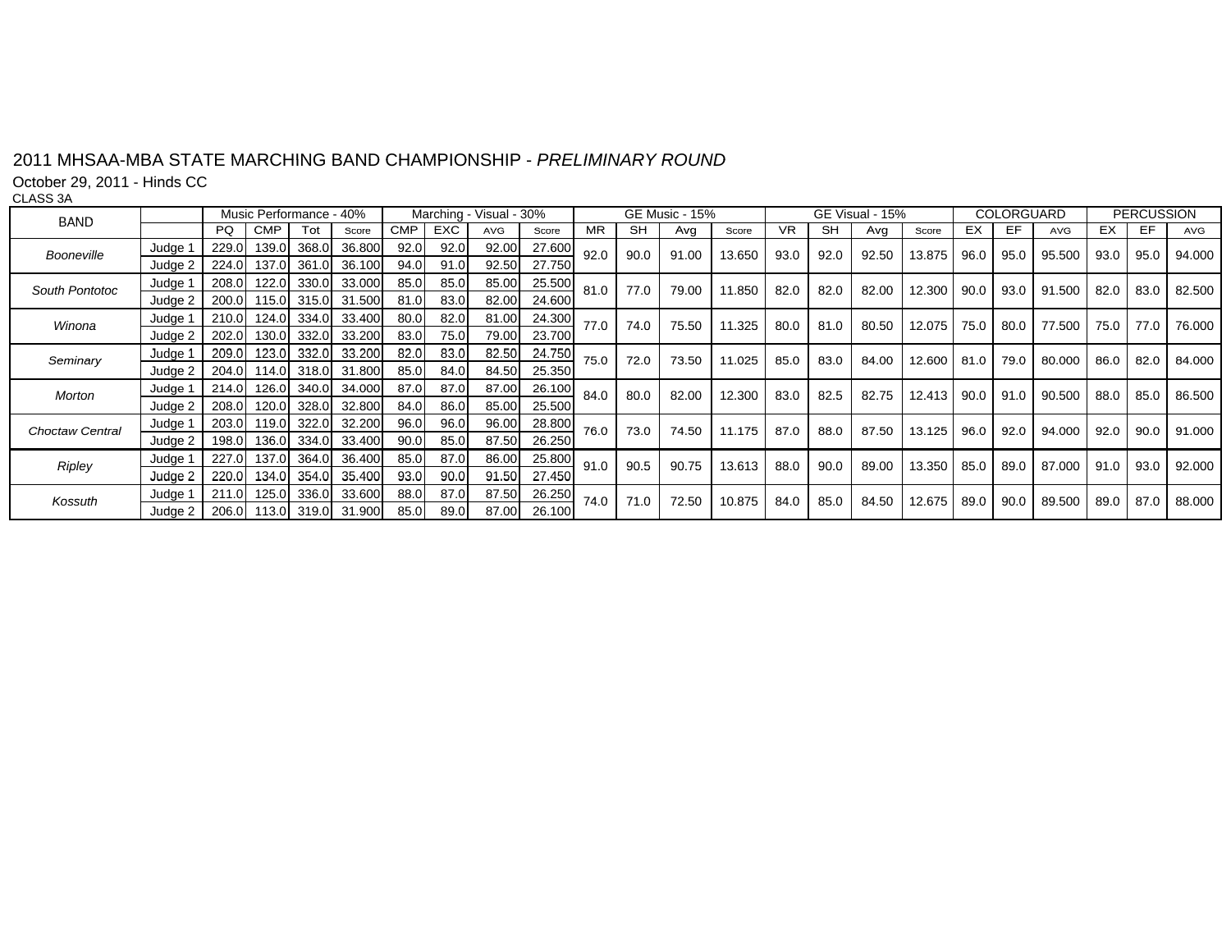## 2011 MHSAA MBA STATE MARCHING BAND CHAMPIONSHIP 2011 MHSAA-MBA STATE MARCHING BAND CHAMPIONSHIP - *PRELIMINARY ROUND PRELIMINARY*

October 29, 2011 - Hinds CC

CLASS 3A

| <b>BAND</b>     |                |       | Music Performance - 40% |             |                          |            |            | Marching - Visual - 30% |        |      | <b>GE Music - 15%</b> |       |        | GE Visual - 15% |      |       |        | COLORGUARD |      |            | <b>PERCUSSION</b> |      |        |
|-----------------|----------------|-------|-------------------------|-------------|--------------------------|------------|------------|-------------------------|--------|------|-----------------------|-------|--------|-----------------|------|-------|--------|------------|------|------------|-------------------|------|--------|
|                 |                | PQ.   | <b>CMP</b>              | Tot         | Score                    | <b>CMP</b> | <b>EXC</b> | AVG                     | Score  | MR.  | <b>SH</b>             | Ava   | Score  | <b>VR</b>       | SH   | Ava   | Score  | EX         | EF.  | <b>AVG</b> | EX.               | EF   | AVG    |
| Booneville      | Judge 1        | 229.0 | 139.0                   | 368.0       | 36.800                   | 92.0       | 92.0       | 92.00                   | 27.600 | 92.0 | 90.0                  | 91.00 | 13.650 | 93.0            | 92.0 | 92.50 | 13.875 | 96.0       | 95.0 | 95.500     | 93.0              | 95.0 | 94.000 |
|                 | Judge 2        | 224.0 |                         | 137.0 361.0 | 36.100                   | 94.0       | 91.0       | 92.50                   | 27.750 |      |                       |       |        |                 |      |       |        |            |      |            |                   |      |        |
| South Pontotoc  | Judge 1        | 208.0 |                         | 122.0 330.0 | 33.000                   | 85.0       | 85.0       | 85.00                   | 25.500 | 81.0 | 77.0                  | 79.00 | 11.850 | 82.0            | 82.0 | 82.00 | 12,300 | 90.0       | 93.0 | 91.500     | 82.0              | 83.0 | 82.500 |
|                 | Judge 2        | 200.0 |                         | 115.0 315.0 | 31.500                   | 81.0       | 83.0       | 82.00                   | 24.600 |      |                       |       |        |                 |      |       |        |            |      |            |                   |      |        |
| Winona          | Judge 1        | 210.0 |                         | 124.0 334.0 | 33.400                   | 80.0       | 82.0       | 81.00                   | 24.300 | 77.0 | 74.0                  | 75.50 | 11.325 | 80.0            | 81.0 | 80.50 | 12.075 | 75.0 l     | 80.0 | 77.500     | 75.0              | 77.0 | 76.000 |
|                 | Judge 2        | 202.0 |                         | 130.0 332.0 | 33.200                   | 83.0       | 75.0       | 79.00                   | 23.700 |      |                       |       |        |                 |      |       |        |            |      |            |                   |      |        |
| Seminary        | Judge 1        | 209.0 | 123.0                   | 332.0       | 33.200                   | 82.0       | 83.0       | 82.50                   | 24.750 | 75.0 | 72.0                  | 73.50 | 11.025 | 85.0            | 83.0 | 84.00 | 12.600 | 81.0       | 79.0 | 80.000     | 86.0              | 82.0 | 84.000 |
|                 | Judge $2 \mid$ |       |                         |             | 204.0 114.0 318.0 31.800 | 85.0       | 84.0       | 84.50                   | 25.350 |      |                       |       |        |                 |      |       |        |            |      |            |                   |      |        |
| Morton          | Judge 1        | 214.0 |                         | 126.0 340.0 | 34.000                   | 87.0       | 87.0       | 87.00                   | 26.100 | 84.0 | 80.0                  | 82.00 | 12.300 | 83.0            | 82.5 | 82.75 | 12.413 | 90.0       | 91.0 | 90.500     | 88.0              | 85.0 | 86.500 |
|                 | Judge 2        | 208.0 |                         | 120.0 328.0 | 32.800                   | 84.0       | 86.0       | 85.00                   | 25.500 |      |                       |       |        |                 |      |       |        |            |      |            |                   |      |        |
| Choctaw Central | Judge 1        | 203.0 |                         | 119.0 322.0 | 32.200                   | 96.0       | 96.0       | 96.00                   | 28.800 | 76.0 | 73.0                  | 74.50 | 11.175 | 87.0            | 88.0 | 87.50 | 13.125 | 96.0       | 92.0 | 94.000     | 92.0              | 90.0 | 91.000 |
|                 | Judge 2 I      |       | 198.0 136.0 334.0       |             | 33.400                   | 90.0       | 85.0       | 87.50                   | 26.250 |      |                       |       |        |                 |      |       |        |            |      |            |                   |      |        |
| Ripley          | Judge 1        | 227.0 |                         | 137.0 364.0 | 36.400                   | 85.0       | 87.0       | 86.00                   | 25.800 | 91.0 | 90.5                  | 90.75 | 13.613 | 88.0            | 90.0 | 89.00 | 13.350 | 85.0       | 89.0 | 87.000     | 91.0              | 93.0 | 92.000 |
|                 | Judge 2 I      | 220.0 |                         | 134.0 354.0 | 35.400                   | 93.0       | 90.0       | 91.50                   | 27.450 |      |                       |       |        |                 |      |       |        |            |      |            |                   |      |        |
| Kossuth         | Judge 1        | 211.0 |                         | 125.0 336.0 | 33.600                   | 88.0       | 87.0       | 87.50                   | 26.250 | 74.0 | 71.0                  | 72.50 | 10.875 | 84.0            | 85.0 | 84.50 | 12.675 | 89.0       | 90.0 | 89.500     | 89.0              | 87.0 | 88.000 |
|                 | Judge $2 \mid$ |       |                         |             | 206.0 113.0 319.0 31.900 | 85.0       | 89.0       | 87.00                   | 26.100 |      |                       |       |        |                 |      |       |        |            |      |            |                   |      |        |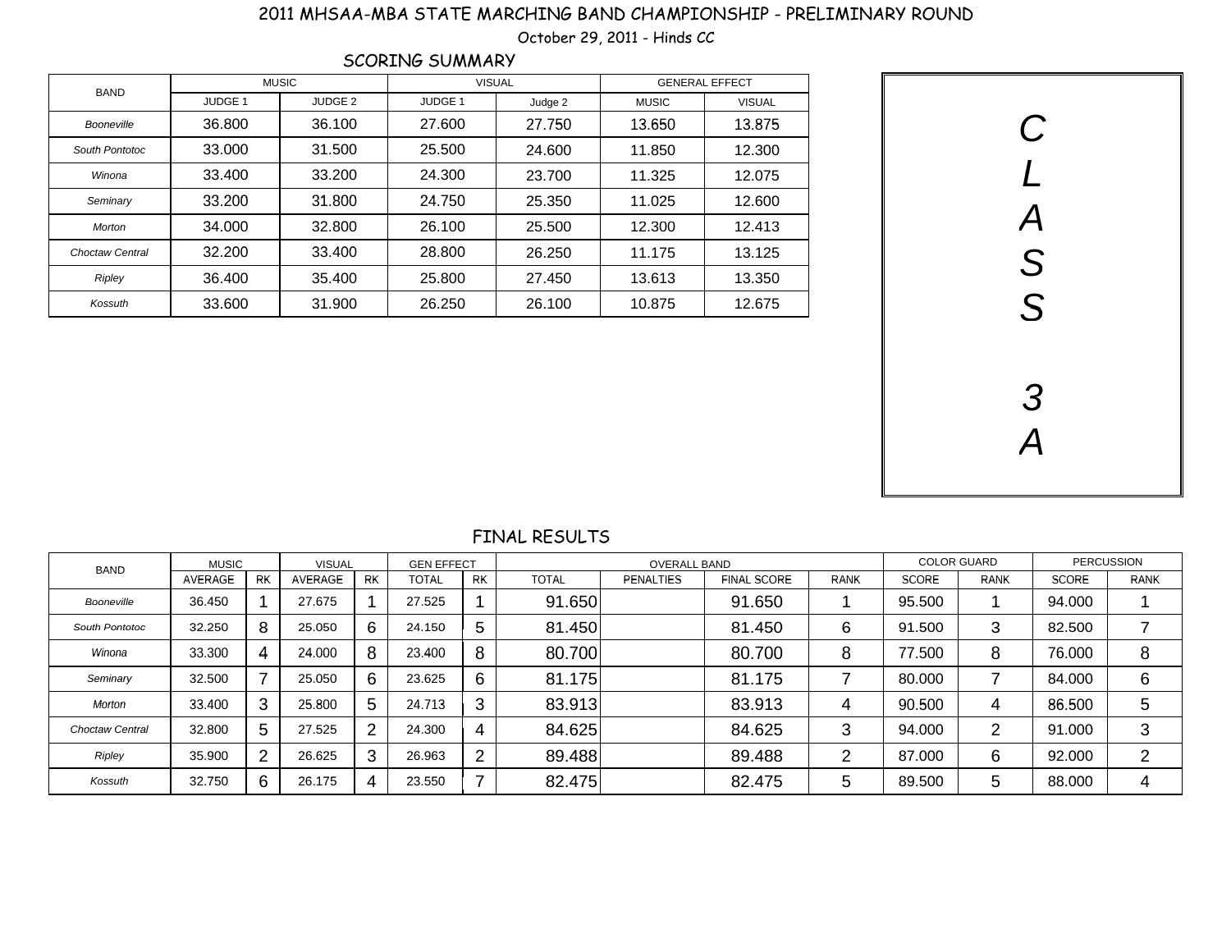## 2011 MHSAA-MBA STATE MARCHING BAND CHAMPIONSHIP - PRELIMINARY ROUND

October 29, 2011 - Hinds *CC* 

|                        |                    |              | SCORING SUMMARY |               |                       |               |  |
|------------------------|--------------------|--------------|-----------------|---------------|-----------------------|---------------|--|
| BAND                   |                    | <b>MUSIC</b> |                 | <b>VISUAL</b> | <b>GENERAL EFFECT</b> |               |  |
|                        | JUDGE <sub>1</sub> | JUDGE 2      | JUDGE 1         | Judge 2       | <b>MUSIC</b>          | <b>VISUAL</b> |  |
| Booneville             | 36.800             | 36.100       | 27.600          | 27.750        | 13.650                | 13.875        |  |
| South Pontotoc         | 33,000             | 31.500       | 25.500          | 24.600        | 11.850                | 12.300        |  |
| Winona                 | 33.400             | 33.200       | 24.300          | 23.700        | 11.325                | 12.075        |  |
| Seminary               | 33.200             | 31.800       | 24.750          | 25.350        | 11.025                | 12.600        |  |
| Morton                 | 34.000             | 32,800       | 26.100          | 25.500        | 12.300                | 12.413        |  |
| <b>Choctaw Central</b> | 32.200             | 33.400       | 28.800          | 26.250        | 11.175                | 13.125        |  |
| Ripley                 | 36.400             | 35.400       | 25,800          | 27.450        | 13.613                | 13.350        |  |
| Kossuth                | 33.600             | 31.900       | 26.250          | 26.100        | 10.875                | 12.675        |  |



## FINAL RESULTS

| <b>BAND</b>            | <b>MUSIC</b> |                | <b>VISUAL</b> |    | <b>GEN EFFECT</b> |                |              | <b>OVERALL BAND</b> |                    | <b>COLOR GUARD</b> |              | <b>PERCUSSION</b> |              |             |
|------------------------|--------------|----------------|---------------|----|-------------------|----------------|--------------|---------------------|--------------------|--------------------|--------------|-------------------|--------------|-------------|
|                        | AVERAGE      | <b>RK</b>      | AVERAGE       | RK | <b>TOTAL</b>      | RK             | <b>TOTAL</b> | <b>PENALTIES</b>    | <b>FINAL SCORE</b> | <b>RANK</b>        | <b>SCORE</b> | <b>RANK</b>       | <b>SCORE</b> | <b>RANK</b> |
| Booneville             | 36.450       |                | 27.675        |    | 27.525            |                | 91.650       |                     | 91.650             |                    | 95.500       |                   | 94.000       |             |
| South Pontotoc         | 32.250       | 8              | 25.050        | 6  | 24.150            | 5              | 81.450       |                     | 81.450             | 6                  | 91.500       | 3                 | 82.500       | –           |
| Winona                 | 33.300       | 4              | 24.000        | 8  | 23.400            | 8              | 80.700       |                     | 80.700             | 8                  | 77.500       | 8                 | 76.000       | 8           |
| Seminary               | 32.500       | $\overline{7}$ | 25.050        | 6  | 23.625            | 6              | 81.175       |                     | 81.175             | ⇁                  | 80,000       |                   | 84.000       | 6           |
| Morton                 | 33.400       | 3              | 25.800        | 5  | 24.713            | 3              | 83.913       |                     | 83.913             | 4                  | 90.500       | 4                 | 86.500       | 5           |
| <b>Choctaw Central</b> | 32.800       | 5              | 27.525        | 2  | 24.300            | 4              | 84.625       |                     | 84.625             | 3                  | 94.000       | ົ<br>∠            | 91.000       | 3           |
| Ripley                 | 35.900       | $\overline{2}$ | 26.625        | 3  | 26.963            | $\overline{2}$ | 89.488       |                     | 89.488             | 2                  | 87.000       | 6                 | 92.000       | ◠<br>∠      |
| Kossuth                | 32.750       | 6              | 26.175        |    | 23.550            | 7              | 82.475       |                     | 82.475             | 5                  | 89.500       | 5                 | 88,000       |             |